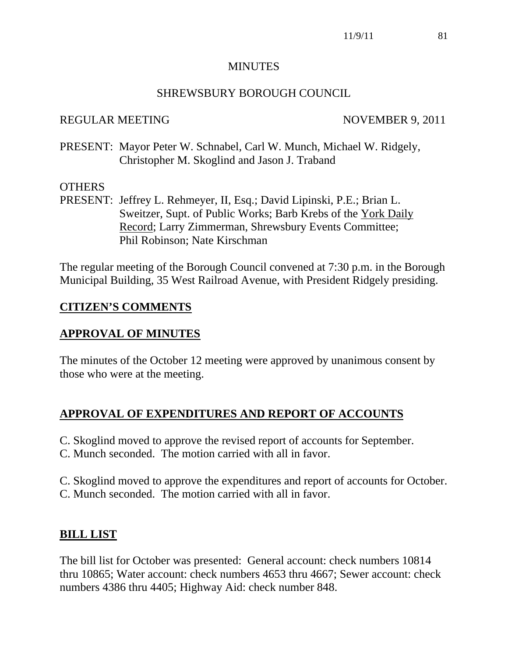#### MINUTES

## SHREWSBURY BOROUGH COUNCIL

#### REGULAR MEETING NOVEMBER 9, 2011

PRESENT: Mayor Peter W. Schnabel, Carl W. Munch, Michael W. Ridgely, Christopher M. Skoglind and Jason J. Traband

## **OTHERS**

PRESENT: Jeffrey L. Rehmeyer, II, Esq.; David Lipinski, P.E.; Brian L. Sweitzer, Supt. of Public Works; Barb Krebs of the York Daily Record; Larry Zimmerman, Shrewsbury Events Committee; Phil Robinson; Nate Kirschman

The regular meeting of the Borough Council convened at 7:30 p.m. in the Borough Municipal Building, 35 West Railroad Avenue, with President Ridgely presiding.

## **CITIZEN'S COMMENTS**

## **APPROVAL OF MINUTES**

The minutes of the October 12 meeting were approved by unanimous consent by those who were at the meeting.

## **APPROVAL OF EXPENDITURES AND REPORT OF ACCOUNTS**

- C. Skoglind moved to approve the revised report of accounts for September.
- C. Munch seconded. The motion carried with all in favor.

C. Skoglind moved to approve the expenditures and report of accounts for October. C. Munch seconded. The motion carried with all in favor.

## **BILL LIST**

The bill list for October was presented: General account: check numbers 10814 thru 10865; Water account: check numbers 4653 thru 4667; Sewer account: check numbers 4386 thru 4405; Highway Aid: check number 848.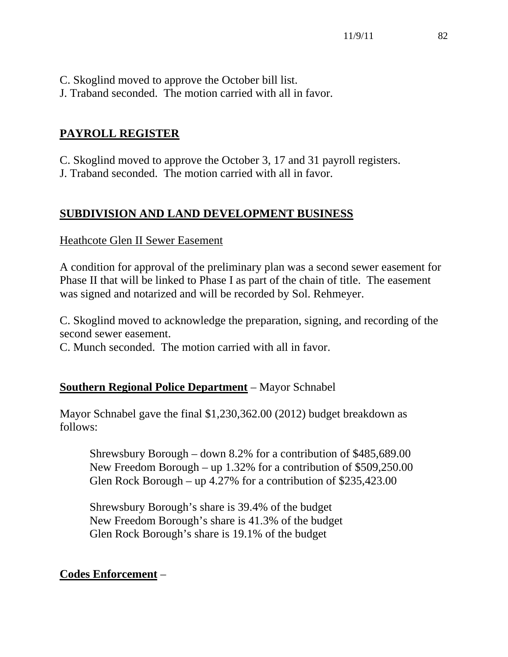C. Skoglind moved to approve the October bill list.

J. Traband seconded. The motion carried with all in favor.

# **PAYROLL REGISTER**

C. Skoglind moved to approve the October 3, 17 and 31 payroll registers.

J. Traband seconded. The motion carried with all in favor.

# **SUBDIVISION AND LAND DEVELOPMENT BUSINESS**

## Heathcote Glen II Sewer Easement

A condition for approval of the preliminary plan was a second sewer easement for Phase II that will be linked to Phase I as part of the chain of title. The easement was signed and notarized and will be recorded by Sol. Rehmeyer.

C. Skoglind moved to acknowledge the preparation, signing, and recording of the second sewer easement.

C. Munch seconded. The motion carried with all in favor.

# **Southern Regional Police Department** – Mayor Schnabel

Mayor Schnabel gave the final \$1,230,362.00 (2012) budget breakdown as follows:

 Shrewsbury Borough – down 8.2% for a contribution of \$485,689.00 New Freedom Borough – up 1.32% for a contribution of \$509,250.00 Glen Rock Borough – up 4.27% for a contribution of \$235,423.00

 Shrewsbury Borough's share is 39.4% of the budget New Freedom Borough's share is 41.3% of the budget Glen Rock Borough's share is 19.1% of the budget

# **Codes Enforcement** –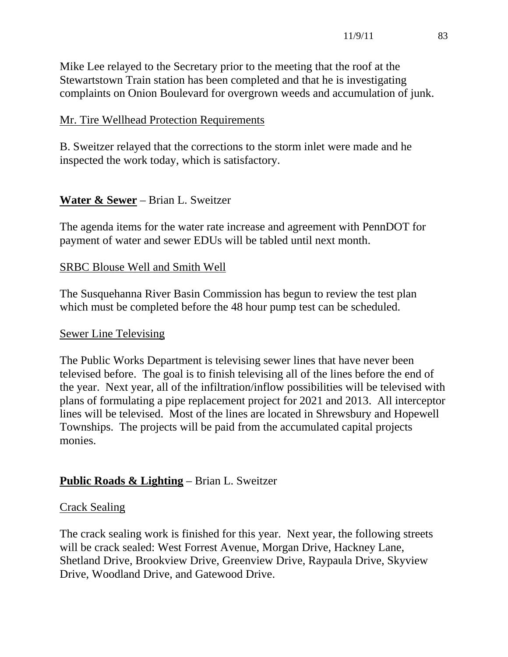Mike Lee relayed to the Secretary prior to the meeting that the roof at the Stewartstown Train station has been completed and that he is investigating complaints on Onion Boulevard for overgrown weeds and accumulation of junk.

#### Mr. Tire Wellhead Protection Requirements

B. Sweitzer relayed that the corrections to the storm inlet were made and he inspected the work today, which is satisfactory.

## **Water & Sewer** – Brian L. Sweitzer

The agenda items for the water rate increase and agreement with PennDOT for payment of water and sewer EDUs will be tabled until next month.

#### SRBC Blouse Well and Smith Well

The Susquehanna River Basin Commission has begun to review the test plan which must be completed before the 48 hour pump test can be scheduled.

#### Sewer Line Televising

The Public Works Department is televising sewer lines that have never been televised before. The goal is to finish televising all of the lines before the end of the year. Next year, all of the infiltration/inflow possibilities will be televised with plans of formulating a pipe replacement project for 2021 and 2013. All interceptor lines will be televised. Most of the lines are located in Shrewsbury and Hopewell Townships. The projects will be paid from the accumulated capital projects monies.

## **Public Roads & Lighting** – Brian L. Sweitzer

#### Crack Sealing

The crack sealing work is finished for this year. Next year, the following streets will be crack sealed: West Forrest Avenue, Morgan Drive, Hackney Lane, Shetland Drive, Brookview Drive, Greenview Drive, Raypaula Drive, Skyview Drive, Woodland Drive, and Gatewood Drive.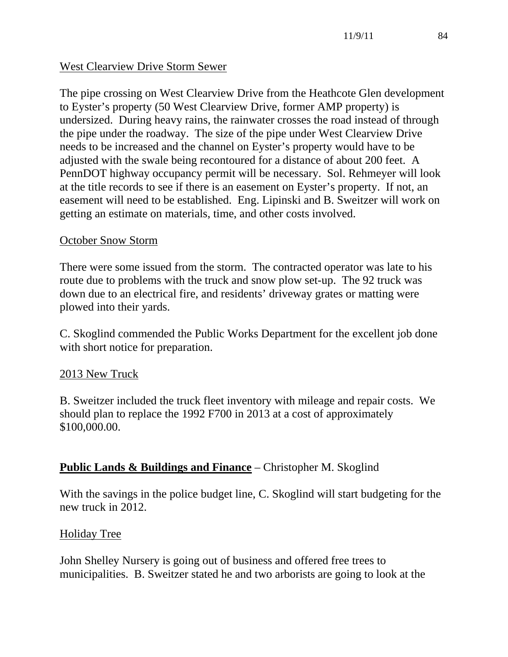## West Clearview Drive Storm Sewer

The pipe crossing on West Clearview Drive from the Heathcote Glen development to Eyster's property (50 West Clearview Drive, former AMP property) is undersized. During heavy rains, the rainwater crosses the road instead of through the pipe under the roadway. The size of the pipe under West Clearview Drive needs to be increased and the channel on Eyster's property would have to be adjusted with the swale being recontoured for a distance of about 200 feet. A PennDOT highway occupancy permit will be necessary. Sol. Rehmeyer will look at the title records to see if there is an easement on Eyster's property. If not, an easement will need to be established. Eng. Lipinski and B. Sweitzer will work on getting an estimate on materials, time, and other costs involved.

## October Snow Storm

There were some issued from the storm. The contracted operator was late to his route due to problems with the truck and snow plow set-up. The 92 truck was down due to an electrical fire, and residents' driveway grates or matting were plowed into their yards.

C. Skoglind commended the Public Works Department for the excellent job done with short notice for preparation.

## 2013 New Truck

B. Sweitzer included the truck fleet inventory with mileage and repair costs. We should plan to replace the 1992 F700 in 2013 at a cost of approximately \$100,000.00.

## **Public Lands & Buildings and Finance** – Christopher M. Skoglind

With the savings in the police budget line, C. Skoglind will start budgeting for the new truck in 2012.

## Holiday Tree

John Shelley Nursery is going out of business and offered free trees to municipalities. B. Sweitzer stated he and two arborists are going to look at the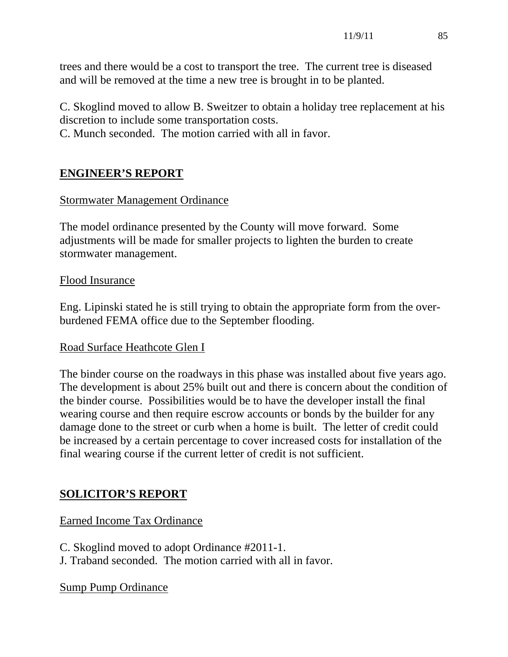trees and there would be a cost to transport the tree. The current tree is diseased and will be removed at the time a new tree is brought in to be planted.

C. Skoglind moved to allow B. Sweitzer to obtain a holiday tree replacement at his discretion to include some transportation costs.

C. Munch seconded. The motion carried with all in favor.

## **ENGINEER'S REPORT**

#### Stormwater Management Ordinance

The model ordinance presented by the County will move forward. Some adjustments will be made for smaller projects to lighten the burden to create stormwater management.

#### Flood Insurance

Eng. Lipinski stated he is still trying to obtain the appropriate form from the overburdened FEMA office due to the September flooding.

#### Road Surface Heathcote Glen I

The binder course on the roadways in this phase was installed about five years ago. The development is about 25% built out and there is concern about the condition of the binder course. Possibilities would be to have the developer install the final wearing course and then require escrow accounts or bonds by the builder for any damage done to the street or curb when a home is built. The letter of credit could be increased by a certain percentage to cover increased costs for installation of the final wearing course if the current letter of credit is not sufficient.

## **SOLICITOR'S REPORT**

Earned Income Tax Ordinance

C. Skoglind moved to adopt Ordinance #2011-1.

J. Traband seconded. The motion carried with all in favor.

Sump Pump Ordinance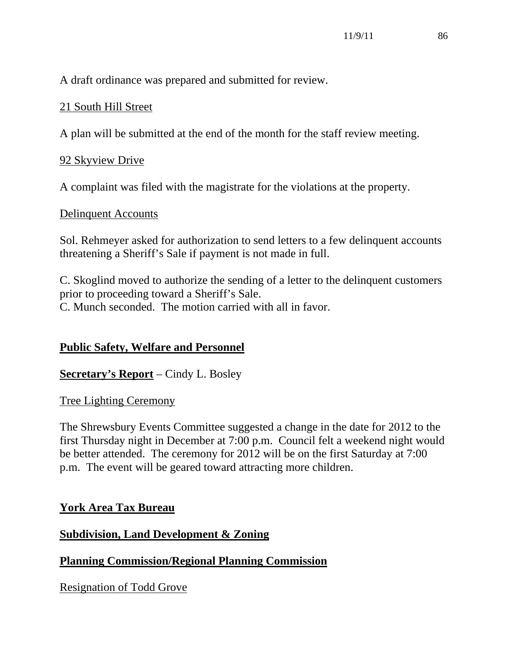A draft ordinance was prepared and submitted for review.

## 21 South Hill Street

A plan will be submitted at the end of the month for the staff review meeting.

## 92 Skyview Drive

A complaint was filed with the magistrate for the violations at the property.

## Delinquent Accounts

Sol. Rehmeyer asked for authorization to send letters to a few delinquent accounts threatening a Sheriff's Sale if payment is not made in full.

C. Skoglind moved to authorize the sending of a letter to the delinquent customers prior to proceeding toward a Sheriff's Sale. C. Munch seconded. The motion carried with all in favor.

## **Public Safety, Welfare and Personnel**

**Secretary's Report** – Cindy L. Bosley

## Tree Lighting Ceremony

The Shrewsbury Events Committee suggested a change in the date for 2012 to the first Thursday night in December at 7:00 p.m. Council felt a weekend night would be better attended. The ceremony for 2012 will be on the first Saturday at 7:00 p.m. The event will be geared toward attracting more children.

## **York Area Tax Bureau**

## **Subdivision, Land Development & Zoning**

**Planning Commission/Regional Planning Commission**

Resignation of Todd Grove